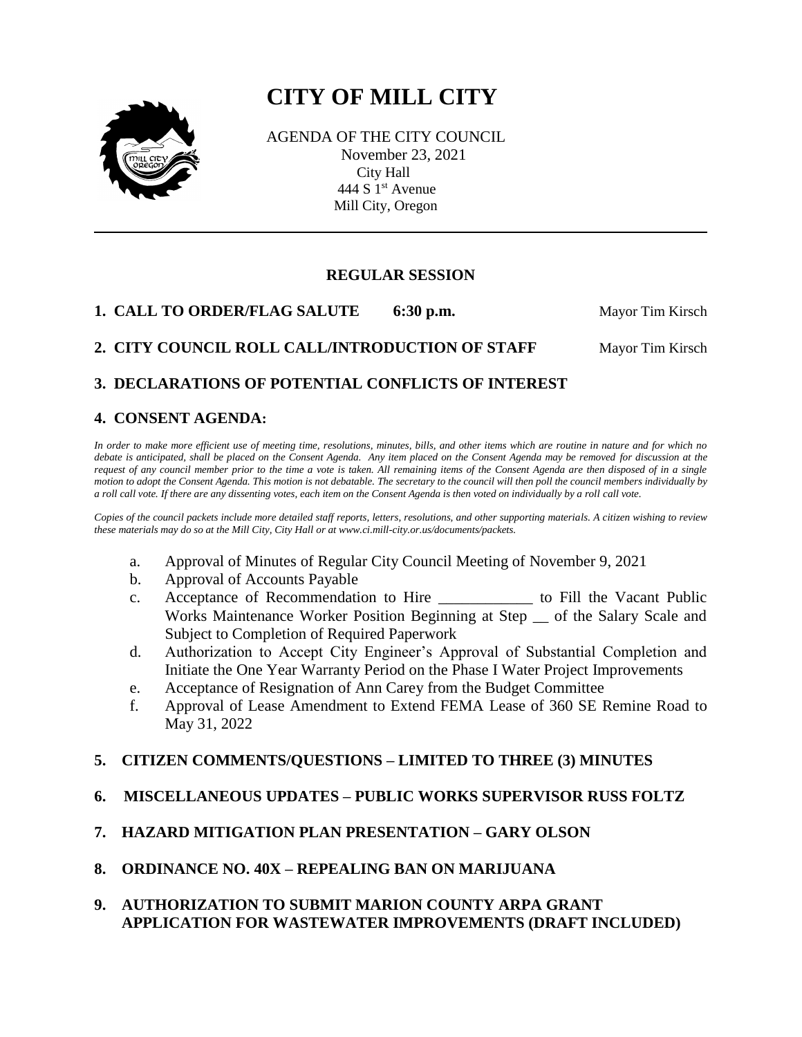# **CITY OF MILL CITY**



 AGENDA OF THE CITY COUNCIL November 23, 2021 City Hall 444 S 1<sup>st</sup> Avenue Mill City, Oregon

## **REGULAR SESSION**

**1. CALL TO ORDER/FLAG SALUTE 6:30 p.m.** Mayor Tim Kirsch

# **2. CITY COUNCIL ROLL CALL/INTRODUCTION OF STAFF Mayor Tim Kirsch**

# **3. DECLARATIONS OF POTENTIAL CONFLICTS OF INTEREST**

## **4. CONSENT AGENDA:**

*In order to make more efficient use of meeting time, resolutions, minutes, bills, and other items which are routine in nature and for which no debate is anticipated, shall be placed on the Consent Agenda. Any item placed on the Consent Agenda may be removed for discussion at the request of any council member prior to the time a vote is taken. All remaining items of the Consent Agenda are then disposed of in a single motion to adopt the Consent Agenda. This motion is not debatable. The secretary to the council will then poll the council members individually by a roll call vote. If there are any dissenting votes, each item on the Consent Agenda is then voted on individually by a roll call vote.*

*Copies of the council packets include more detailed staff reports, letters, resolutions, and other supporting materials. A citizen wishing to review these materials may do so at the Mill City, City Hall or at www.ci.mill-city.or.us/documents/packets.*

- a. Approval of Minutes of Regular City Council Meeting of November 9, 2021
- b. Approval of Accounts Payable
- c. Acceptance of Recommendation to Hire \_\_\_\_\_\_\_\_\_\_\_\_ to Fill the Vacant Public Works Maintenance Worker Position Beginning at Step \_\_ of the Salary Scale and Subject to Completion of Required Paperwork
- d. Authorization to Accept City Engineer's Approval of Substantial Completion and Initiate the One Year Warranty Period on the Phase I Water Project Improvements
- e. Acceptance of Resignation of Ann Carey from the Budget Committee
- f. Approval of Lease Amendment to Extend FEMA Lease of 360 SE Remine Road to May 31, 2022

## **5. CITIZEN COMMENTS/QUESTIONS – LIMITED TO THREE (3) MINUTES**

## **6. MISCELLANEOUS UPDATES – PUBLIC WORKS SUPERVISOR RUSS FOLTZ**

## **7. HAZARD MITIGATION PLAN PRESENTATION – GARY OLSON**

**8. ORDINANCE NO. 40X – REPEALING BAN ON MARIJUANA**

#### **9. AUTHORIZATION TO SUBMIT MARION COUNTY ARPA GRANT APPLICATION FOR WASTEWATER IMPROVEMENTS (DRAFT INCLUDED)**